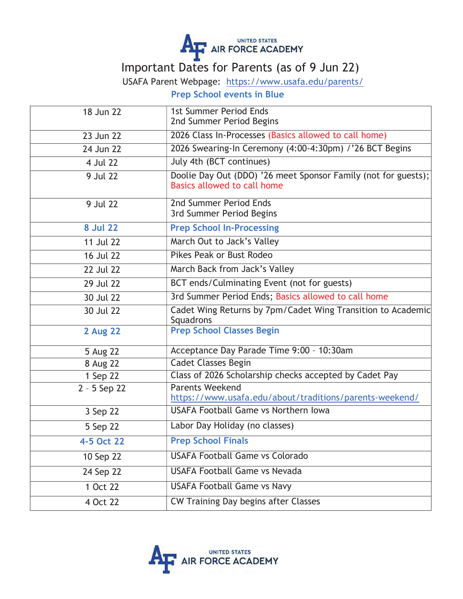

# Important Dates for Parents (as of 9 Jun 22)

USAFA Parent Webpage: https://www.usafa.edu/parents/

#### Prep School events in Blue

| 18 Jun 22       | 1st Summer Period Ends<br>2nd Summer Period Begins                                            |
|-----------------|-----------------------------------------------------------------------------------------------|
| 23 Jun 22       | 2026 Class In-Processes (Basics allowed to call home)                                         |
| 24 Jun 22       | 2026 Swearing-In Ceremony (4:00-4:30pm) /'26 BCT Begins                                       |
| 4 Jul 22        | July 4th (BCT continues)                                                                      |
| 9 Jul 22        | Doolie Day Out (DDO) '26 meet Sponsor Family (not for guests);<br>Basics allowed to call home |
| 9 Jul 22        | 2nd Summer Period Ends<br>3rd Summer Period Begins                                            |
| <b>8 Jul 22</b> | <b>Prep School In-Processing</b>                                                              |
| 11 Jul 22       | March Out to Jack's Valley                                                                    |
| 16 Jul 22       | Pikes Peak or Bust Rodeo                                                                      |
| 22 Jul 22       | March Back from Jack's Valley                                                                 |
| 29 Jul 22       | BCT ends/Culminating Event (not for guests)                                                   |
| 30 Jul 22       | 3rd Summer Period Ends; Basics allowed to call home                                           |
| 30 Jul 22       | Cadet Wing Returns by 7pm/Cadet Wing Transition to Academic<br>Squadrons                      |
| <b>2 Aug 22</b> | <b>Prep School Classes Begin</b>                                                              |
| 5 Aug 22        | Acceptance Day Parade Time 9:00 - 10:30am                                                     |
| 8 Aug 22        | Cadet Classes Begin                                                                           |
| 1 Sep 22        | Class of 2026 Scholarship checks accepted by Cadet Pay                                        |
| 2 - 5 Sep 22    | <b>Parents Weekend</b><br>https://www.usafa.edu/about/traditions/parents-weekend/             |
| 3 Sep 22        | USAFA Football Game vs Northern Iowa                                                          |
| 5 Sep 22        | Labor Day Holiday (no classes)                                                                |
| 4-5 Oct 22      | <b>Prep School Finals</b>                                                                     |
| 10 Sep 22       | <b>USAFA Football Game vs Colorado</b>                                                        |
| 24 Sep 22       | <b>USAFA Football Game vs Nevada</b>                                                          |
| 1 Oct 22        | <b>USAFA Football Game vs Navy</b>                                                            |
| 4 Oct 22        | CW Training Day begins after Classes                                                          |

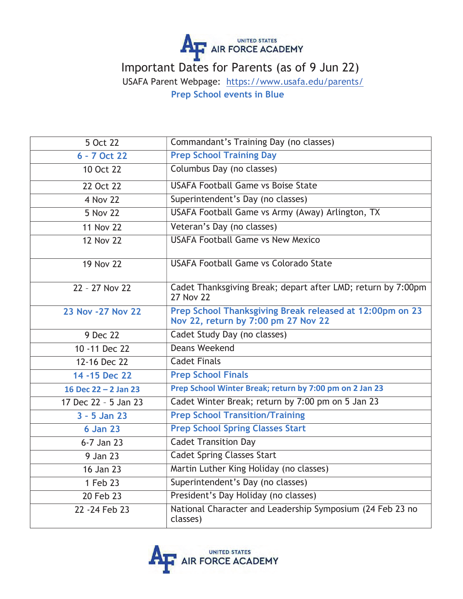

## Important Dates for Parents (as of 9 Jun 22) USAFA Parent Webpage: https://www.usafa.edu/parents/ Prep School events in Blue

| 5 Oct 22               | Commandant's Training Day (no classes)                                                          |
|------------------------|-------------------------------------------------------------------------------------------------|
| 6 - 7 Oct 22           | <b>Prep School Training Day</b>                                                                 |
| 10 Oct 22              | Columbus Day (no classes)                                                                       |
| 22 Oct 22              | USAFA Football Game vs Boise State                                                              |
| 4 Nov 22               | Superintendent's Day (no classes)                                                               |
| 5 Nov 22               | USAFA Football Game vs Army (Away) Arlington, TX                                                |
| <b>11 Nov 22</b>       | Veteran's Day (no classes)                                                                      |
| <b>12 Nov 22</b>       | USAFA Football Game vs New Mexico                                                               |
| <b>19 Nov 22</b>       | USAFA Football Game vs Colorado State                                                           |
| 22 - 27 Nov 22         | Cadet Thanksgiving Break; depart after LMD; return by 7:00pm<br><b>27 Nov 22</b>                |
| 23 Nov - 27 Nov 22     | Prep School Thanksgiving Break released at 12:00pm on 23<br>Nov 22, return by 7:00 pm 27 Nov 22 |
| 9 Dec 22               | Cadet Study Day (no classes)                                                                    |
| 10 -11 Dec 22          | Deans Weekend                                                                                   |
| 12-16 Dec 22           | <b>Cadet Finals</b>                                                                             |
| 14 - 15 Dec 22         | <b>Prep School Finals</b>                                                                       |
| 16 Dec $22 - 2$ Jan 23 | Prep School Winter Break; return by 7:00 pm on 2 Jan 23                                         |
| 17 Dec 22 - 5 Jan 23   | Cadet Winter Break; return by 7:00 pm on 5 Jan 23                                               |
| 3 - 5 Jan 23           | <b>Prep School Transition/Training</b>                                                          |
| <b>6 Jan 23</b>        | <b>Prep School Spring Classes Start</b>                                                         |
| 6-7 Jan 23             | <b>Cadet Transition Day</b>                                                                     |
| 9 Jan 23               | <b>Cadet Spring Classes Start</b>                                                               |
| 16 Jan 23              | Martin Luther King Holiday (no classes)                                                         |
| 1 Feb 23               | Superintendent's Day (no classes)                                                               |
| 20 Feb 23              | President's Day Holiday (no classes)                                                            |
| 22 - 24 Feb 23         | National Character and Leadership Symposium (24 Feb 23 no<br>classes)                           |